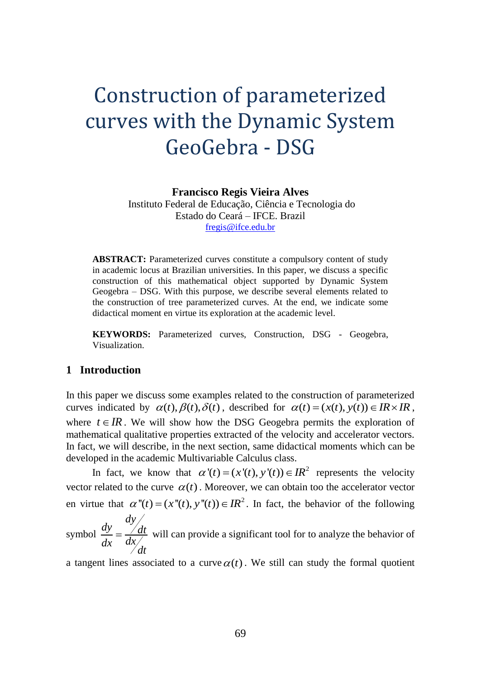# Construction of parameterized curves with the Dynamic System GeoGebra - DSG

**Francisco Regis Vieira Alves**

Instituto Federal de Educação, Ciência e Tecnologia do Estado do Ceará – IFCE. Brazil [fregis@ifce.edu.br](mailto:fregis@ifce.edu.br)

**ABSTRACT:** Parameterized curves constitute a compulsory content of study in academic locus at Brazilian universities. In this paper, we discuss a specific construction of this mathematical object supported by Dynamic System Geogebra – DSG. With this purpose, we describe several elements related to the construction of tree parameterized curves. At the end, we indicate some didactical moment en virtue its exploration at the academic level.

**KEYWORDS:** Parameterized curves, Construction, DSG - Geogebra, Visualization.

# **1 Introduction**

In this paper we discuss some examples related to the construction of parameterized curves indicated by  $\alpha(t)$ ,  $\beta(t)$ ,  $\delta(t)$ , described for  $\alpha(t) = (x(t), y(t)) \in \mathbb{IR} \times \mathbb{IR}$ , where  $t \in \mathbb{R}$ . We will show how the DSG Geogebra permits the exploration of mathematical qualitative properties extracted of the velocity and accelerator vectors. In fact, we will describe, in the next section, same didactical moments which can be developed in the academic Multivariable Calculus class.

In fact, we know that  $\alpha'(t) = (x'(t), y'(t)) \in IR^2$  represents the velocity vector related to the curve  $\alpha(t)$ . Moreover, we can obtain too the accelerator vector en virtue that  $\alpha''(t) = (x''(t), y''(t)) \in IR^2$ . In fact, the behavior of the following

symbol *dy*  $\frac{dy}{dx} - \frac{dy}{dt}$  $dx = dx/dt$  $=\frac{du}{dt}$  will can provide a significant tool for to analyze the behavior of

a tangent lines associated to a curve  $\alpha(t)$ . We still can study the formal quotient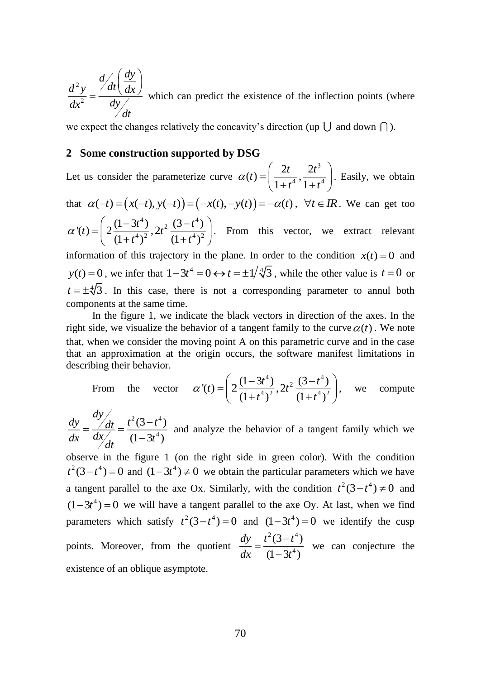2  $d \big/ \big/ \frac{dy}{y}$  $d^2y$  /dt  $dx$  $dx^2$  *dy dt*  $=\frac{d}{dt}\left(\frac{dy}{dx}\right)$  which can predict the existence of the inflection points (where

we expect the changes relatively the concavity's direction (up  $\bigcup$  and down  $\bigcap$ ).

### **2 Some construction supported by DSG**

Let us consider the parameterize curve 3  $f(t) = \left(\frac{2t}{1+t^4}, \frac{2t^3}{1+t^4}\right)$  $t = \frac{2t}{t}$ ,  $\frac{2t}{t}$ *t t*  $\alpha(t) = \left(\frac{2t}{1+t^4}, \frac{2t^3}{1+t^4}\right)$ . Easily, we obtain that  $\alpha(-t) = (x(-t), y(-t)) = (-x(t), -y(t)) = -\alpha(t)$ ,  $\forall t \in \mathbb{R}$ . We can get too

$$
\alpha'(t) = \left(2\frac{(1-3t^4)}{(1+t^4)^2}, 2t^2\frac{(3-t^4)}{(1+t^4)^2}\right).
$$
 From this vector, we extract relevant

information of this trajectory in the plane. In order to the condition  $x(t) = 0$  and  $y(t) = 0$ , we infer that  $1 - 3t^4 = 0 \leftrightarrow t = \pm 1/4/3$ , while the other value is  $t = 0$  or  $t = \pm \sqrt[4]{3}$ . In this case, there is not a corresponding parameter to annul both components at the same time.

In the figure 1, we indicate the black vectors in direction of the axes. In the right side, we visualize the behavior of a tangent family to the curve  $\alpha(t)$ . We note that, when we consider the moving point A on this parametric curve and in the case that an approximation at the origin occurs, the software manifest limitations in describing their behavior.

From the vector 
$$
\alpha'(t) = \left(2\frac{(1-3t^4)}{(1+t^4)^2}, 2t^2\frac{(3-t^4)}{(1+t^4)^2}\right)
$$
, we compute

 $2 \, \sim 4$ 4  $(3-t^*)$  $(1 - 3t^4)$ *dy*  $dy$  /dt  $t^2(3-t)$  $dx = \frac{dx}{dt}$   $(1-3t)$  $=\frac{7}{dx}$   $\frac{dt}{1-3t}$ and analyze the behavior of a tangent family which we

 $\frac{f^2y}{x^2} = \frac{f dt (dx)}{dy}$  which can predict the to<br>
expect the changes relatively the concav<br>
Some construction supported by D.<br>
t us consider the parameterize curve  $\alpha$ <br>
at  $\alpha(-t) = (x(-t), y(-t)) = (-x(t), -y(t))$ <br>  $f(t) = \left(2\frac{(1-3t^$ observe in the figure 1 (on the right side in green color). With the condition  $t^2(3-t^4) = 0$  and  $(1-3t^4) \neq 0$  we obtain the particular parameters which we have a tangent parallel to the axe Ox. Similarly, with the condition  $t^2(3-t^4) \neq 0$  and  $(1-3t<sup>4</sup>) = 0$  we will have a tangent parallel to the axe Oy. At last, when we find parameters which satisfy  $t^2(3-t^4) = 0$  and  $(1-3t^4) = 0$  we identify the cusp points. Moreover, from the quotient  $2(2 + 4)$ 4  $(3-t^4)$  $(1 - 3t^4)$ *dy*  $t^2(3-t)$  $dx \t(1-3t)$  $=\frac{t^2(3-1)}{1-t^2}$  $\overline{\phantom{0}}$ we can conjecture the existence of an oblique asymptote.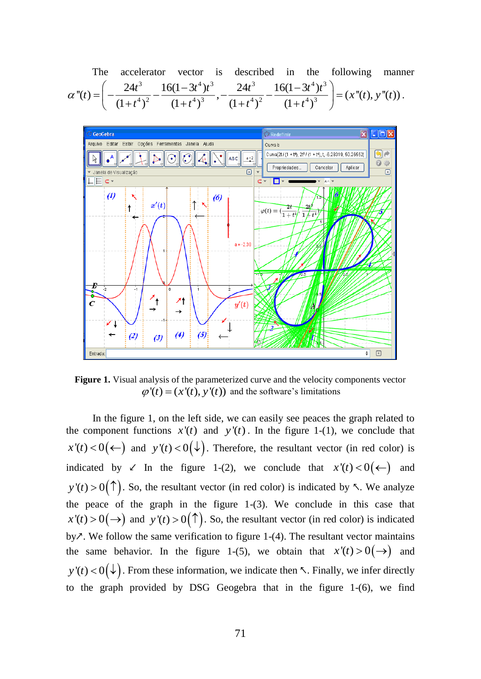The accelerator vector is described in the following manner  
\n
$$
\alpha''(t) = \left( -\frac{24t^3}{(1+t^4)^2} - \frac{16(1-3t^4)t^3}{(1+t^4)^3}, -\frac{24t^3}{(1+t^4)^2} - \frac{16(1-3t^4)t^3}{(1+t^4)^3} \right) = (x''(t), y''(t)).
$$



**Figure 1.** Visual analysis of the parameterized curve and the velocity components vector  $\varphi'(t) = (x'(t), y'(t))$  and the software's limitations

In the figure 1, on the left side, we can easily see peaces the graph related to the component functions  $x'(t)$  and  $y'(t)$ . In the figure 1-(1), we conclude that  $x'(t) < 0$  ( $\leftarrow$ ) and  $y'(t) < 0$  ( $\downarrow$ ). Therefore, the resultant vector (in red color) is indicated by  $\swarrow$  In the figure 1-(2), we conclude that  $x'(t) < 0(\leftarrow)$  and  $y'(t) > 0(\uparrow)$ . So, the resultant vector (in red color) is indicated by *下*. We analyze the peace of the graph in the figure 1-(3). We conclude in this case that  $x'(t) > 0(\rightarrow)$  and  $y'(t) > 0(\uparrow)$ . So, the resultant vector (in red color) is indicated by $\lambda$ . We follow the same verification to figure 1-(4). The resultant vector maintains the same behavior. In the figure 1-(5), we obtain that  $x'(t) > 0(\rightarrow)$  and  $y'(t) < 0(\downarrow)$ . From these information, we indicate then  $\nwarrow$ . Finally, we infer directly to the graph provided by DSG Geogebra that in the figure 1-(6), we find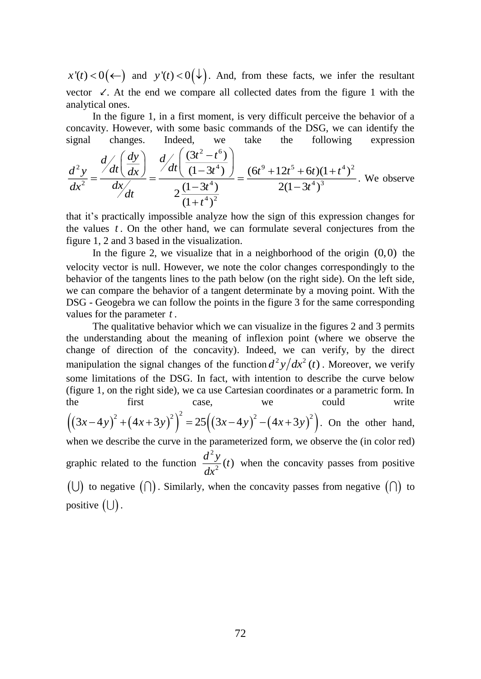and  $y'(t) < 0(\downarrow)$ . And, from these facts, we infer the resultant vector ↙. At the end we compare all collected dates from the figure 1 with the analytical ones.

In the figure 1, in a first moment, is very difficult perceive the behavior of a concavity. However, with some basic commands of the DSG, we can identify the signal changes. Indeed, we take the following expression

$$
\frac{d^2y}{dx^2} = \frac{d/dt \left(\frac{dy}{dx}\right)}{dx} = \frac{d/dt \left(\frac{(3t^2 - t^6)}{(1 - 3t^4)}\right)}{2\frac{(1 - 3t^4)}{(1 + t^4)^2}} = \frac{(6t^9 + 12t^5 + 6t)(1 + t^4)^2}{2(1 - 3t^4)^3}.
$$
 We observe

that it's practically impossible analyze how the sign of this expression changes for the values *t* . On the other hand, we can formulate several conjectures from the figure 1, 2 and 3 based in the visualization.

In the figure 2, we visualize that in a neighborhood of the origin  $(0,0)$  the velocity vector is null. However, we note the color changes correspondingly to the behavior of the tangents lines to the path below (on the right side). On the left side, we can compare the behavior of a tangent determinate by a moving point. With the DSG - Geogebra we can follow the points in the figure 3 for the same corresponding values for the parameter *t* .

 $x'(t) < 0(\leftarrow)$  and  $y'(t) < 0(\leftarrow)$ . And, find evector  $\angle$ . At the end we compare all colonalytical ones.<br>
In the figure 1, in a first moment, is concavity. However, with some basic comparigation changes. Indeed, we figure 1 The qualitative behavior which we can visualize in the figures 2 and 3 permits the understanding about the meaning of inflexion point (where we observe the change of direction of the concavity). Indeed, we can verify, by the direct manipulation the signal changes of the function  $d^2y/dx^2(t)$ . Moreover, we verify some limitations of the DSG. In fact, with intention to describe the curve below (figure 1, on the right side), we ca use Cartesian coordinates or a parametric form. In the first case, we could write  $((3x-4y)^2 + (4x+3y)^2)^2 = 25((3x-4y)^2 - (4x+3y)^2)$ . On the other hand,

when we describe the curve in the parameterized form, we observe the (in color red) graphic related to the function 2  $\frac{d^2y}{dx^2}$  (*t*) when the concavity passes from positive  $(\cup)$  to negative  $(\cap)$ . Similarly, when the concavity passes from negative  $(\cap)$  to positive  $(\cup)$  .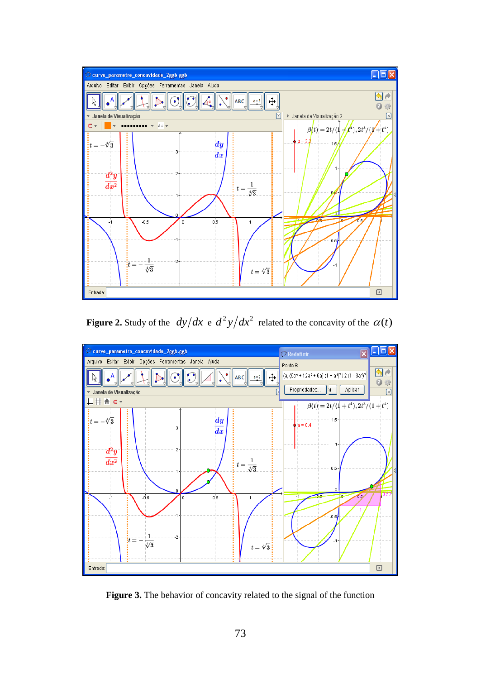

**Figure 2.** Study of the  $dy/dx$  e  $d^2y/dx^2$  related to the concavity of the  $\alpha(t)$ 



**Figure 3.** The behavior of concavity related to the signal of the function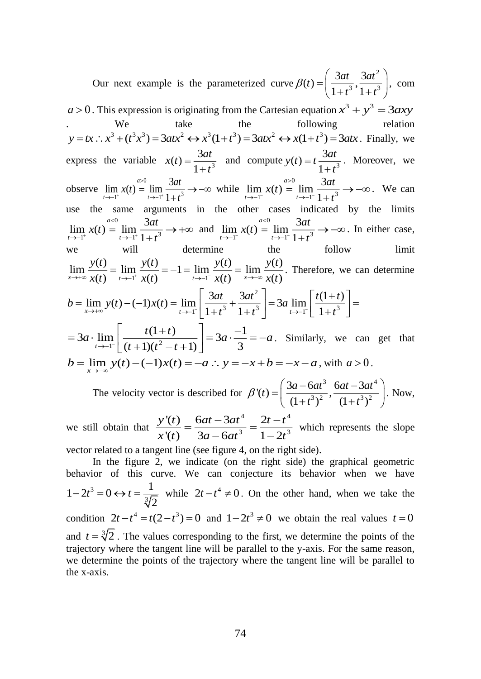Our next example is the parameterized curve 2  $f(t) = \left(\frac{3at}{1+t^3}, \frac{3at^2}{1+t^3}\right)$  $a(t) = \frac{3at}{t^2}$ ,  $\frac{3at}{t^2}$  $\beta(t) = \frac{\epsilon_{\text{eff}}}{1+t^3}, \frac{\epsilon_{\text{eff}}}{1+t}$  $=\left(\frac{3at}{1+t^3}, \frac{3at^2}{1+t^3}\right)$ , com  $a > 0$ . This expression is originating from the Cartesian equation  $x^3 + y^3 = 3axy$ We take the following relation  $y = tx$  :  $x^3 + (t^3x^3) = 3atx^2 \leftrightarrow x^3(1+t^3) = 3atx^2 \leftrightarrow x(1+t^3) = 3atx$ . Finally, we express the variable  $x(t) = \frac{5at}{1+t^3}$  $(t) = \frac{3}{14}$  $x(t) = \frac{3at}{t}$  $t = \frac{3at}{1+t^3}$  and compute  $y(t) = t \frac{3at}{1+t^3}$  $(t) = t \frac{3}{1 +}$  $y(t) = t \frac{3at}{1+t^3}$ . Moreover, we observe  $\lim x(t) =$  $1^+$   $(1^+$   $(1+1^3)$  $\lim_{t \to 1^+} x(t) = \lim_{t \to 1^+} \frac{3}{1+1}$ *a t* →−1 *t*  $x(t) = \lim \frac{3at}{t}$ <sup>+</sup>  $t \rightarrow -1^+$  1 + t ➢ →−1 *t→*−  $= \lim \longrightarrow -\infty$  $rac{3at}{(t^3)} \rightarrow -\infty$  while  $\lim_{t \rightarrow -1^{-}} x(t) =$  $\lim_{t \to -1^{-}} \frac{1}{1+t^{3}}$  $\lim_{t \to -1^{-}} x(t) = \lim_{t \to -1^{-}} \frac{3}{1+}$ *a*  $\lim_{t\to -1^{-}} \lambda(t) =$  $\lim_{t \to -1^{-}} \frac{1}{t} \cdot \frac{3at}{1+t}$  $>$  $\lim_{t \to -1^{-}} x(t) = \lim_{t \to -1^{-}} \frac{3at}{1+t^3} \to -\infty$ . . We can use the same arguments in the other cases indicated by the limits 0  $1^+$   $(1^+$   $(1^+$   $t^3$  $\lim_{t \to -1^{+}} x(t) = \lim_{t \to -1^{+}} \frac{3}{1+1}$ *a*  $t \rightarrow -1$   $t$  $x(t) = \lim \frac{3at}{t}$ <sup>+</sup>  $t \rightarrow -1^+$  1 + t <  $\lim_{t\to 1^+} x(t) = \lim_{t\to -1^+} \frac{1}{1+t^3} \to +\infty$  $\frac{3at}{t^3} \rightarrow +\infty$  and  $\lim_{t \rightarrow -1^{-}} x(t) =$  $1^{\sim}$   $t \rightarrow -1^{\sim} 1 + t^3$  $\lim_{t \to -1^{-}} x(t) = \lim_{t \to -1^{-}} \frac{3}{1+1}$ *a t* →−1 *t*  $x(t) = \lim \frac{3at}{t}$  $t \rightarrow -1^{-} 1 + t$ <  $\rightarrow$ -1  $t\rightarrow$ - $= \lim \frac{\ }{\ } \to -\infty$  $\frac{\partial u}{\partial t}$   $\rightarrow$  - $\infty$ . In either case, determine the follow limit  $\lim_{t \to +\infty} \frac{y(t)}{y(t)} = \lim_{t \to -1^-} \frac{y(t)}{y(t)} = -1 = \lim_{t \to -1^-} \frac{y(t)}{y(t)} = \lim_{x \to -\infty} \frac{y(t)}{y(t)}$  $\alpha x \mapsto x \alpha x(t)$   $t \mapsto t^{-1} x(t)$   $t \mapsto t^{-1} x(t)$   $x \mapsto x(t)$  $y(t)$  *y*  $y(t)$  *f x y*  $y(t)$  *f x y*  $(t)$  *f x y*  $(t)$  $\lim_{t\to\infty} \frac{f(t)}{x(t)} = \lim_{t\to-1^+} \frac{f(t)}{x(t)} = -1 = \lim_{t\to-1^-} \frac{f(t)}{x(t)} = \lim_{x\to-\infty} \frac{f(t)}{x(t)}$ . Therefore, we can determine 2  $b = \lim_{x \to +\infty} y(t) - (-1)x(t) = \lim_{t \to -1^{-}} \left| \frac{3at}{1+t^3} + \frac{3at^2}{1+t^3} \right| = 3a \lim_{t \to -1^{-}} \left| \frac{t(1+t)}{1+t^3} \right|$  $\begin{bmatrix} 3at & 3at^2 \end{bmatrix}$   $\begin{bmatrix} t(1+t) \end{bmatrix}$  $=\lim_{x\to+\infty} y(t)-(-1)x(t)=\lim_{t\to-1^{-}} \left[\frac{\csc}{1+t^3}+\frac{\csc}{1+t^3}\right]=3a\lim_{t\to-1^{-}} \left[\frac{\csc}{1+t^3}\right]=$  $3a \cdot \lim_{t \to -1^-} \left| \frac{t(1+t)}{(t+1)(t^2-t+1)} \right| = 3a \cdot \frac{-1}{3}$  $t \rightarrow -1$   $(t+1)(t^2-t+1)$  3  $a \cdot \lim_{t \to a} \left| \frac{t(1+t)}{t} \right| = 3a \cdot \frac{-1}{t} = -a$  $\rightarrow$ -1<sup>-</sup>  $(t+1)(t^2-t$  $\begin{bmatrix} t(1+t) \end{bmatrix}$  - $=3a \cdot \lim_{t\to -1^{-}} \left[\frac{c(t+1)t}{(t+1)(t^2-t+1)}\right] = 3a \cdot \frac{1}{3} = -a$ . Similarly, we can get that  $b = \lim_{x \to -\infty} y(t) - (-1)x(t) = -a$  :  $y = -x + b = -x - a$ , with  $a > 0$ .

The velocity vector is described for  $3 \sim 2.4$  $f(t) = \left( \frac{3a - 6at^3}{(1 + a^3)^2}, \frac{6at - 3at^3}{(1 + a^3)^2} \right)$  $(1+t^3)^2$   $(1+t^3)$  $a(t) = \frac{3a - 6at^3}{2a}$ ,  $\frac{6at - 3at^3}{2a}$  $\beta'(t) = \left(\frac{at - at}{(1+t^3)^2}, \frac{at - at}{(1+t)}\right)$  $=\left(\frac{3a-6at^3}{(1+t^3)^2}, \frac{6at-3at^4}{(1+t^3)^2}\right)$ . Now,

we still obtain that 4  $\Omega$ , 4 3 3  $'(t)$  6at  $-3at^4$  2  $'(t)$  3a - 6at<sup>3</sup> 1 - 2 *y*<sup>*(t)*</sup>  $6at - 3at$   $2t - t$ *x*<sup> $\{t\}$ </sup>  $3a - 6at^3$   $1 - 2t$  $=\frac{6at-3at}{3a-6at^3}=\frac{2t-t}{1-2t^3}$  which represents the slope Ξ

vector related to a tangent line (see figure 4, on the right side).

In the figure 2, we indicate (on the right side) the graphical geometric behavior of this curve. We can conjecture its behavior when we have 3 3  $1-2t^3=0 \leftrightarrow t=\frac{1}{2}$ 2  $t^2 - 2t^3 = 0 \leftrightarrow t = \frac{1}{2\sqrt{t}}$  while  $2t - t^4 \neq 0$ . On the other hand, when we take the condition  $2t - t^4 = t(2 - t^3) = 0$  and  $1 - 2t^3 \neq 0$  we obtain the real values  $t = 0$ and  $t = \sqrt[3]{2}$ . The values corresponding to the first, we determine the points of the trajectory where the tangent line will be parallel to the y-axis. For the same reason, we determine the points of the trajectory where the tangent line will be parallel to the x-axis.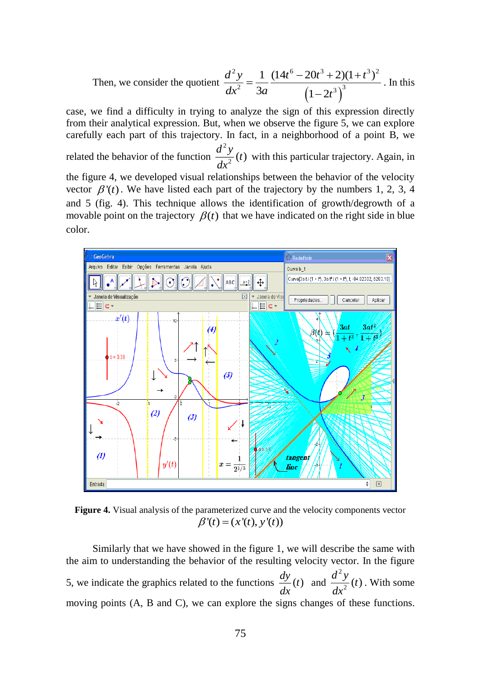Then, we consider the quotient  $(1-2t^3)^3$ 2  $(1.416 \cap 0.3 \cdot 0.41 \cdot 0.3)$ <sup>2</sup> 3*a*  $(1, 2)^3$  $1 \left(14t^{\circ} - 20t^3 + 2\right)(1+t^3)$ 3*a*  $(1-2)$  $d^2y$  **1**  $(14t^6 - 20t^3 + 2)(1+t^4)$  $dx^2$  3*a*  $(1-2t)$  $=\frac{1}{2} \frac{(14t^{\circ}-20t^{\circ}+2)(1+t^{\circ})}{2}$ π . In this

case, we find a difficulty in trying to analyze the sign of this expression directly from their analytical expression. But, when we observe the figure 5, we can explore carefully each part of this trajectory. In fact, in a neighborhood of a point B, we related the behavior of the function 2  $\frac{d^2y}{dx^2}$  (*t*) with this particular trajectory. Again, in the figure 4, we developed visual relationships between the behavior of the velocity vector  $\beta'(t)$ . We have listed each part of the trajectory by the numbers 1, 2, 3, 4 and 5 (fig. 4). This technique allows the identification of growth/degrowth of a movable point on the trajectory  $\beta(t)$  that we have indicated on the right side in blue color.



**Figure 4.** Visual analysis of the parameterized curve and the velocity components vector  $\beta'(t) = (x'(t), y'(t))$ 

Similarly that we have showed in the figure 1, we will describe the same with the aim to understanding the behavior of the resulting velocity vector. In the figure 5, we indicate the graphics related to the functions  $\frac{dy}{dx}(t)$  and 2  $\frac{d^2y}{dx^2}(t)$ . With some moving points (A, B and C), we can explore the signs changes of these functions.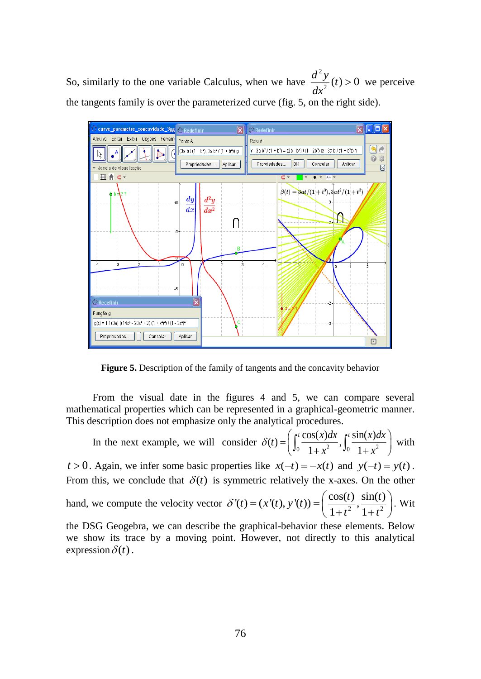So, similarly to the one variable Calculus, when we have 2  $\frac{d^2y}{dx^2}(t) > 0$  we perceive the tangents family is over the parameterized curve (fig. 5, on the right side).



**Figure 5.** Description of the family of tangents and the concavity behavior

From the visual date in the figures 4 and 5, we can compare several mathematical properties which can be represented in a graphical-geometric manner. This description does not emphasize only the analytical procedures.

Exercuse the next example, we will consider  $\delta(t) = \left(\int_0^t \frac{\cos(x)dx}{1+x^2}, \int_0^t \frac{\sin(x)dx}{1+x^2}\right)$  $\frac{\sinh(x)}{1+x^2}, \int_0^1 \frac{\sinh(x)}{1}$ *t*  $\delta(t) = \left( \int_0^t \frac{\cos(x) dx}{1 + x^2}, \int_0^t \frac{\sin(x) dx}{1 + x^2} \right)$  with with

 $t > 0$ . Again, we infer some basic properties like  $x(-t) = -x(t)$  and  $y(-t) = y(t)$ . From this, we conclude that  $\delta(t)$  is symmetric relatively the x-axes. On the other

hand, we compute the velocity vector  $\delta'(t) = (x'(t), y'(t)) = \left(\frac{\cos(t)}{1+t^2}, \frac{\sin(t)}{1+t^2}\right)$  $t$ **)** =  $(x'(t), y'(t)) = \left(\frac{\cos(t)}{1+t^2}, \frac{\sin(t)}{1+t^2}\right)$  $\delta'(t) = (x'(t), y'(t)) = \left(\frac{\cos(t)}{1+t^2}, \frac{\sin(t)}{1+t^2}\right)$ . Wit

the DSG Geogebra, we can describe the graphical-behavior these elements. Below we show its trace by a moving point. However, not directly to this analytical expression  $\delta(t)$ .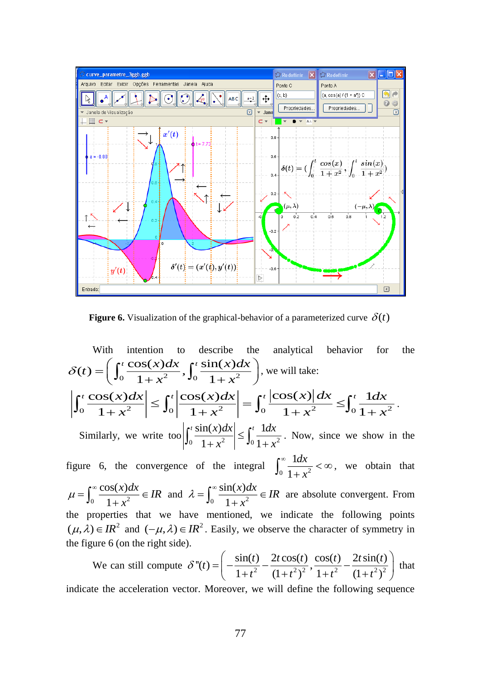

**Figure 6.** Visualization of the graphical-behavior of a parameterized curve  $\delta(t)$ 

With intention to describe the analytical behavior for the  $f(t) = \left( \int_0^t \frac{\cos(x)dx}{1+x^2}, \int_0^t \frac{\sin(x)dx}{1+x^2} \right)$  $t = \int_0^t \frac{\cos(x)dx}{x^2}$ ,  $\int_0^t \frac{\sin(x)dx}{x^2}$  $x \rightarrow 0 \quad 1 + x$  $\delta(t) = \left(\int_0^t \frac{\cos(x)dx}{1+x^2}, \int_0^t \frac{\sin(x)dx}{1+x^2}\right)$ , we will take: 2 2 2 2 0 0 0 0  $\cos(x)dx \sim \int_0^t |\cos(x)dx| \quad t^{t} |\cos(x)|dx \geq \int_0^t 1$  $1 + x^2$   $30$   $1 + x^2$   $30$   $1 + x^2$   $301$  $\int_{t}^{t} \cos(x) dx$   $\int_{t}^{t} \cos(x) dx$   $\int_{t}^{t} \cos(x) dx$   $\int_{t}^{t} 1 dx$  $x \rightarrow w$   $1 + x \rightarrow w$   $1 + x \rightarrow w$  $\int_0^t \frac{\cos(x) dx}{1+x^2} \leq \int_0^t \left| \frac{\cos(x) dx}{1+x^2} \right| = \int_0^t \frac{|\cos(x)| dx}{1+x^2} \leq \int_0^t \frac{1 dx}{1+x^2}.$ Similarly, we write too  $\left|\int_0^{\frac{5}{2}} \frac{\sin(x) \, dx}{1 + x^2} \right| \leq \int_0^{\frac{5}{2}} \frac{\tan(x)}{1 + x^2}$  $\left|\frac{\sin(x)dx}{\sin(x)}\right| \geq 1$  $\left|\frac{1+x^2}{1+x^2}\right| \leq \int_0^{\pi}$ *t*  $\sin(x)dx \Big|_{x \in \mathbb{R}^t}$  *dx*  $\left|\frac{\partial}{\partial x}x^2\right| \leq \int_0^1 \frac{\ln x}{1+x^2}$  $\int_0^t \frac{\sin(x)dx}{1+x^2} \le \int_0^t \frac{1dx}{1+x^2}$ . Now, since we show in the figure 6, the convergence of the integral  $\int_0^{\infty} \frac{\tan x}{1 + x^2}$ 1 1 *dx x*  $\infty$   $\frac{1}{2}$  <  $\infty$  $\int_0^\infty \frac{1}{1+x^2} < \infty$ , we obtain that 0  $1 + r^2$  $cos(x)$ 1  $\frac{x)dx}{ } \in IR$  $\mu = \int_0^\infty \frac{\cos(x) dx}{1+x^2} \in$  $\int_0^\infty \frac{\cos(x) dx}{1+x^2} \in IR$  and  $\lambda = \int_0^\infty \frac{\sin(x) dx}{1+x^2}$  $sin(x)$ 1  $\frac{x}{dx}$   $\in$  *IR x*  $\lambda = \int_{0}^{\infty} \frac{\sin(x) dx}{1} \in$  $\int_0^\infty \frac{\sin(x) dx}{1+x^2} \in IR$  are absolute convergent. From the properties that we have mentioned, we indicate the following points  $(\mu, \lambda) \in IR^2$  and  $(-\mu, \lambda) \in IR^2$ . Easily, we observe the character of symmetry in

We can still compute 
$$
\delta''(t) = \left( -\frac{\sin(t)}{1+t^2} - \frac{2t\cos(t)}{(1+t^2)^2}, \frac{\cos(t)}{1+t^2} - \frac{2t\sin(t)}{(1+t^2)^2} \right)
$$
 that

indicate the acceleration vector. Moreover, we will define the following sequence

the figure 6 (on the right side).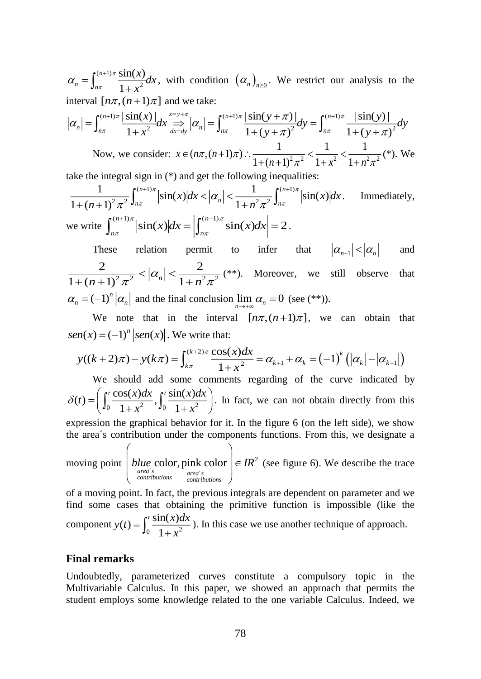2  $sin(x)$ 1  $n \quad \mathbf{J}_n$ *x dx x* π  $\alpha_n = \int_{n\pi}^{(n+1)\pi} \frac{\sin(x)}{1+x^2} dx$ , with condition  $(\alpha_n)_{n\geq 0}$ . We restrict our analysis to the interval  $[n\pi, (n+1)\pi]$  and we take:

$$
\alpha_n = \int_{\alpha}^{(\alpha+1)x} \frac{\sin(x)}{1+x^2} dx
$$
, with condition  $(\alpha_n)_{n\geq 0}$ . We restrict our analysis to the interval  $[\ln \pi, (n+1)\pi]$  and we take:  
\n $|\alpha_n| = \int_{n\pi}^{(\alpha+1)x} \frac{|\sin(x)|}{1+x^2} dx \sum_{\alpha+\alpha}^{x \to +\pi} |\alpha_n| = \int_{n\pi}^{(\alpha+1)\pi} \frac{|\sin(y+\pi)|}{1+(y+\pi)^2} dy = \int_{n\pi}^{(\alpha+1)\pi} \frac{|\sin(y)|}{1+(y+\pi)^2} dy$   
\nNow, we consider:  $x \in (\ln \pi, (n+1)\pi)$ .  $\frac{1}{1+(n+1)^2\pi^2} \leq \frac{1}{1+x^2} < \frac{1}{1+n^2\pi^2} (\pi)$ . We take the integral sign in (\*) and get the following inequalities:  
\n $\frac{1}{1+(n+1)^2\pi^2} \int_{n\pi}^{(\alpha+1)\pi} |\sin(x)| dx < |\alpha_n| < \frac{1}{1+n^2\pi^2} \int_{n\pi}^{(\alpha+1)\pi} |\sin(x)| dx$ . Immediately, we write  $\int_{n\pi}^{(\alpha+1)\pi} |\sin(x)| dx = |\int_{n\pi}^{(\alpha+1)\pi} \sin(x) dx| = 2$ .  
\nThese relation permit to infer that  $|\alpha_{n+1}| < |\alpha_n|$  and  $|\alpha_n| < |\alpha_n| < |\alpha_n|$  and  $\frac{2}{1+(n+1)^2\pi^2} < |\alpha_n| < \frac{2}{1+n^2\pi^2} (\pi^*)$ . Moreover, we still observe that  $\alpha_n = (-1)^n |\alpha_n|$  and the final conclusion  $\lim_{n \to +\infty} \alpha_n = 0$  (see (\*)<sup>\*</sup>).  
\nWe note that in the interval  $[\ln \pi, (n+1)\pi]$ , we can obtain that  $sen(x) = (-1)^n \cdot |sen(x)|$ . We write that:  
\n $y((k+2)\pi) - y(k\pi) = \int_{k\pi}^{(k+2)\pi} \frac{\cos(x) dx}{1+x^2} = \alpha_{k+1} + \alpha_k = (-1)^k (|\alpha_k| - |\alpha_{k+1}|)$   
\nWe should add some comments regarding of the curve indicated by  $\delta(t) = (\int_0^t \frac{\$ 

take the integral sign in (\*) and get the following inequalities:

$$
\frac{1}{1 + (n+1)^2 \pi^2} \int_{n\pi}^{(n+1)\pi} |\sin(x)| dx < |\alpha_n| < \frac{1}{1 + n^2 \pi^2} \int_{n\pi}^{(n+1)\pi} |\sin(x)| dx.
$$
 Immediately,  
we write 
$$
\int_{n\pi}^{(n+1)\pi} |\sin(x)| dx = \left| \int_{n\pi}^{(n+1)\pi} \sin(x) dx \right| = 2.
$$

These relation permit to infer that  $|\alpha_{n+1}| < |\alpha_n|$ and 2 2  $|M|$  1 2 2 2 2  $1 + (n+1)^2 \pi^2$   $1 - n \leq n$  $\alpha$  $\pi$   $1+n \pi$  $<$   $\alpha$   $<$  $\frac{2}{(n+1)^2 \pi^2} < |\alpha_n| < \frac{2}{1+n^2 \pi^2}$  (\*\*). Moreover, we still observe that  $\alpha_n = (-1)^n |\alpha_n|$  and the final conclusion  $\lim_{n \to +\infty} \alpha_n = 0$  (see (\*\*)).

We note that in the interval  $[n\pi, (n+1)\pi]$ , we can obtain that  $\text{sen}(x) = (-1)^n |\text{sen}(x)|$ . We write that:

$$
y((k+2)\pi) - y(k\pi) = \int_{k\pi}^{(k+2)\pi} \frac{\cos(x)dx}{1+x^2} = \alpha_{k+1} + \alpha_k = (-1)^k (|\alpha_k| - |\alpha_{k+1}|)
$$

We should add some comments regarding of the curve indicated by  $f(t) = \left( \int_0^t \frac{\cos(x) dx}{1 + x^2}, \int_0^t \frac{\sin(x) dx}{1 + x^2} \right)$  $t = \int_0^t \frac{\cos(x)dx}{x^2} \cdot \int_0^t \frac{\sin(x)dx}{x^2}$ *x x*  $\delta(t) = \left(\int_0^t \frac{\cos(x)dx}{1+x^2}, \int_0^t \frac{\sin(x)dx}{1+x^2}\right)$ . In fact, we can not obtain directly from this

expression the graphical behavior for it. In the figure 6 (on the left side), we show the area´s contribution under the components functions. From this, we designate a

moving point 
$$
\left(b \frac{blue \, color}{blue \, color}, \frac{pink \, color}{blue \, color}\right) \in IR^2 \text{ (see figure 6). We describe the trace}
$$

of a moving point. In fact, the previous integrals are dependent on parameter and we find some cases that obtaining the primitive function is impossible (like the component  $y(t) = \int_0^t \frac{\sin(x)t}{1+x^2}$  $\lim(x)dx$  $y(t) = \int_0^{\frac{t}{t}} f(t) dt$  $=\int_0^t \frac{\sin(x)dx}{1+x^2}$ ). In this case we use another technique of approach.

#### **Final remarks**

Undoubtedly, parameterized curves constitute a compulsory topic in the Multivariable Calculus. In this paper, we showed an approach that permits the student employs some knowledge related to the one variable Calculus. Indeed, we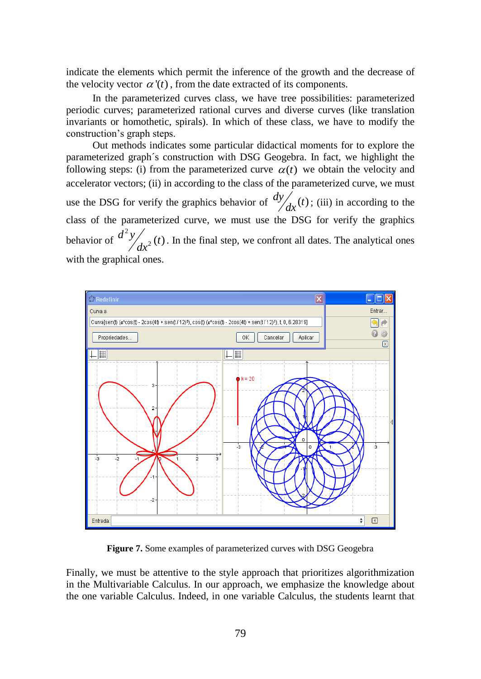indicate the elements which permit the inference of the growth and the decrease of the velocity vector  $\alpha'(t)$ , from the date extracted of its components.

In the parameterized curves class, we have tree possibilities: parameterized periodic curves; parameterized rational curves and diverse curves (like translation invariants or homothetic, spirals). In which of these class, we have to modify the construction's graph steps.

Out methods indicates some particular didactical moments for to explore the parameterized graph´s construction with DSG Geogebra. In fact, we highlight the following steps: (i) from the parameterized curve  $\alpha(t)$  we obtain the velocity and accelerator vectors; (ii) in according to the class of the parameterized curve, we must use the DSG for verify the graphics behavior of  $\frac{dy}{dx}(t)$ ; (iii) in according to the class of the parameterized curve, we must use the DSG for verify the graphics behavior of  $d^2$  $\frac{d^2y}{dx^2}(t)$ . In the final step, we confront all dates. The analytical ones with the graphical ones.



**Figure 7.** Some examples of parameterized curves with DSG Geogebra

Finally, we must be attentive to the style approach that prioritizes algorithmization in the Multivariable Calculus. In our approach, we emphasize the knowledge about the one variable Calculus. Indeed, in one variable Calculus, the students learnt that